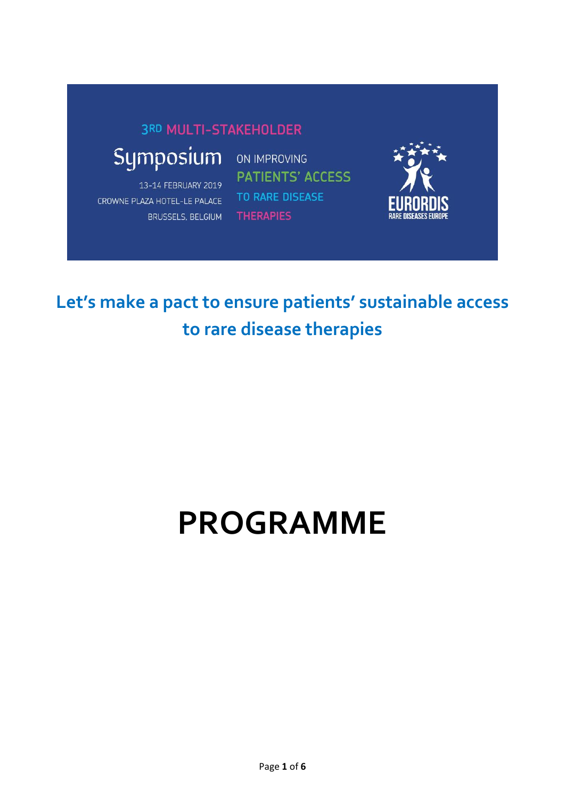#### **3RD MULTI-STAKEHOLDER**

# Symposium

13-14 FEBRUARY 2019 CROWNE PLAZA HOTEL-LE PALACE **BRUSSELS, BELGIUM** 

ON IMPROVING **PATIENTS' ACCESS** TO RARE DISEASE **THERAPIES** 



**Let's make a pact to ensure patients' sustainable access to rare disease therapies**

# **PROGRAMME**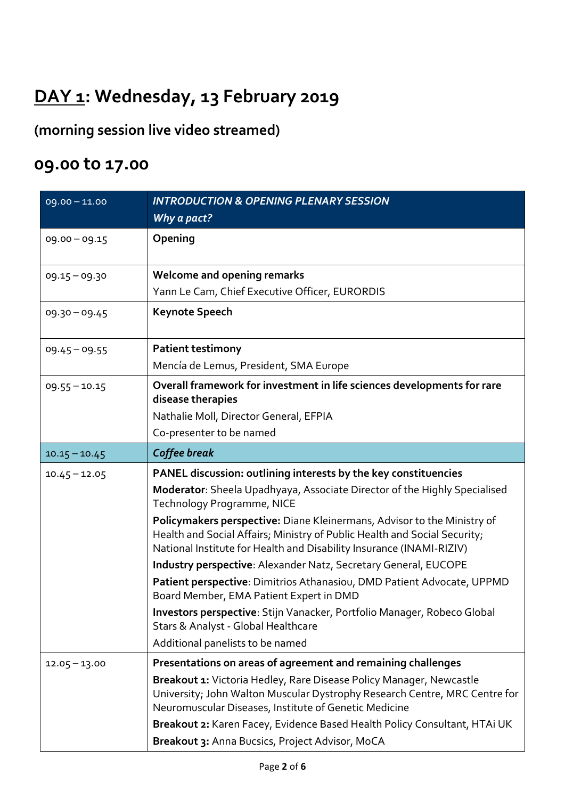### **DAY 1: Wednesday, 13 February 2019**

**(morning session live video streamed)**

#### **09.00 to 17.00**

| $09.00 - 11.00$ | <b>INTRODUCTION &amp; OPENING PLENARY SESSION</b>                                                                                                                                                                            |
|-----------------|------------------------------------------------------------------------------------------------------------------------------------------------------------------------------------------------------------------------------|
|                 | Why a pact?                                                                                                                                                                                                                  |
| $09.00 - 09.15$ | Opening                                                                                                                                                                                                                      |
| $09.15 - 09.30$ | <b>Welcome and opening remarks</b>                                                                                                                                                                                           |
|                 | Yann Le Cam, Chief Executive Officer, EURORDIS                                                                                                                                                                               |
| $09.30 - 09.45$ | <b>Keynote Speech</b>                                                                                                                                                                                                        |
| $09.45 - 09.55$ | <b>Patient testimony</b>                                                                                                                                                                                                     |
|                 | Mencía de Lemus, President, SMA Europe                                                                                                                                                                                       |
| $09.55 - 10.15$ | Overall framework for investment in life sciences developments for rare<br>disease therapies                                                                                                                                 |
|                 | Nathalie Moll, Director General, EFPIA                                                                                                                                                                                       |
|                 | Co-presenter to be named                                                                                                                                                                                                     |
| $10.15 - 10.45$ | Coffee break                                                                                                                                                                                                                 |
| $10.45 - 12.05$ | PANEL discussion: outlining interests by the key constituencies                                                                                                                                                              |
|                 | Moderator: Sheela Upadhyaya, Associate Director of the Highly Specialised<br>Technology Programme, NICE                                                                                                                      |
|                 | Policymakers perspective: Diane Kleinermans, Advisor to the Ministry of<br>Health and Social Affairs; Ministry of Public Health and Social Security;<br>National Institute for Health and Disability Insurance (INAMI-RIZIV) |
|                 | Industry perspective: Alexander Natz, Secretary General, EUCOPE                                                                                                                                                              |
|                 | Patient perspective: Dimitrios Athanasiou, DMD Patient Advocate, UPPMD<br>Board Member, EMA Patient Expert in DMD                                                                                                            |
|                 | Investors perspective: Stijn Vanacker, Portfolio Manager, Robeco Global<br>Stars & Analyst - Global Healthcare                                                                                                               |
|                 | Additional panelists to be named                                                                                                                                                                                             |
| $12.05 - 13.00$ | Presentations on areas of agreement and remaining challenges                                                                                                                                                                 |
|                 | Breakout 1: Victoria Hedley, Rare Disease Policy Manager, Newcastle<br>University; John Walton Muscular Dystrophy Research Centre, MRC Centre for<br>Neuromuscular Diseases, Institute of Genetic Medicine                   |
|                 | Breakout 2: Karen Facey, Evidence Based Health Policy Consultant, HTAi UK                                                                                                                                                    |
|                 | Breakout 3: Anna Bucsics, Project Advisor, MoCA                                                                                                                                                                              |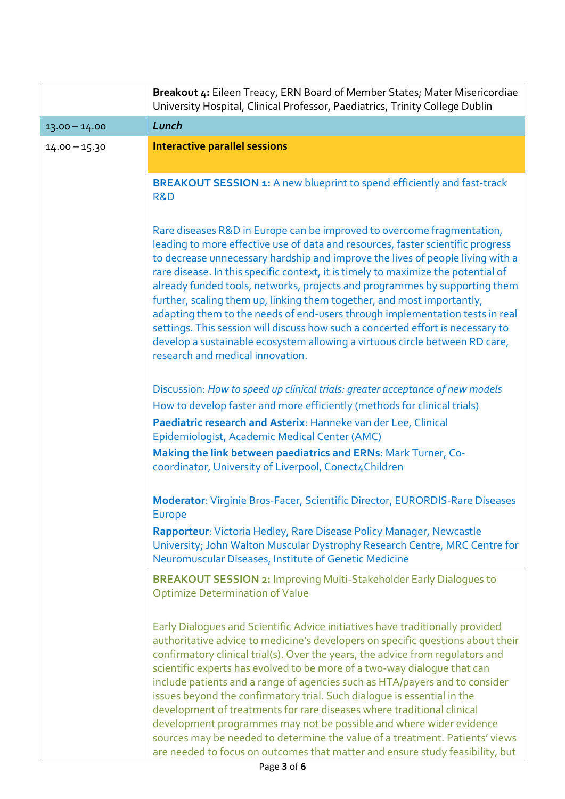|                 | Breakout 4: Eileen Treacy, ERN Board of Member States; Mater Misericordiae<br>University Hospital, Clinical Professor, Paediatrics, Trinity College Dublin                                                                                                                                                                                                                                                                                                                                                                                                                                                                                                                                                                                                                                                 |
|-----------------|------------------------------------------------------------------------------------------------------------------------------------------------------------------------------------------------------------------------------------------------------------------------------------------------------------------------------------------------------------------------------------------------------------------------------------------------------------------------------------------------------------------------------------------------------------------------------------------------------------------------------------------------------------------------------------------------------------------------------------------------------------------------------------------------------------|
| $13.00 - 14.00$ | Lunch                                                                                                                                                                                                                                                                                                                                                                                                                                                                                                                                                                                                                                                                                                                                                                                                      |
| $14.00 - 15.30$ | <b>Interactive parallel sessions</b>                                                                                                                                                                                                                                                                                                                                                                                                                                                                                                                                                                                                                                                                                                                                                                       |
|                 | <b>BREAKOUT SESSION 1:</b> A new blueprint to spend efficiently and fast-track<br>R&D                                                                                                                                                                                                                                                                                                                                                                                                                                                                                                                                                                                                                                                                                                                      |
|                 | Rare diseases R&D in Europe can be improved to overcome fragmentation,<br>leading to more effective use of data and resources, faster scientific progress<br>to decrease unnecessary hardship and improve the lives of people living with a<br>rare disease. In this specific context, it is timely to maximize the potential of<br>already funded tools, networks, projects and programmes by supporting them<br>further, scaling them up, linking them together, and most importantly,<br>adapting them to the needs of end-users through implementation tests in real<br>settings. This session will discuss how such a concerted effort is necessary to<br>develop a sustainable ecosystem allowing a virtuous circle between RD care,<br>research and medical innovation.                             |
|                 | Discussion: How to speed up clinical trials: greater acceptance of new models                                                                                                                                                                                                                                                                                                                                                                                                                                                                                                                                                                                                                                                                                                                              |
|                 | How to develop faster and more efficiently (methods for clinical trials)<br>Paediatric research and Asterix: Hanneke van der Lee, Clinical<br>Epidemiologist, Academic Medical Center (AMC)                                                                                                                                                                                                                                                                                                                                                                                                                                                                                                                                                                                                                |
|                 | Making the link between paediatrics and ERNs: Mark Turner, Co-<br>coordinator, University of Liverpool, Conect4Children                                                                                                                                                                                                                                                                                                                                                                                                                                                                                                                                                                                                                                                                                    |
|                 | Moderator: Virginie Bros-Facer, Scientific Director, EURORDIS-Rare Diseases<br><b>Europe</b>                                                                                                                                                                                                                                                                                                                                                                                                                                                                                                                                                                                                                                                                                                               |
|                 | Rapporteur: Victoria Hedley, Rare Disease Policy Manager, Newcastle<br>University; John Walton Muscular Dystrophy Research Centre, MRC Centre for<br>Neuromuscular Diseases, Institute of Genetic Medicine                                                                                                                                                                                                                                                                                                                                                                                                                                                                                                                                                                                                 |
|                 | <b>BREAKOUT SESSION 2: Improving Multi-Stakeholder Early Dialogues to</b><br><b>Optimize Determination of Value</b>                                                                                                                                                                                                                                                                                                                                                                                                                                                                                                                                                                                                                                                                                        |
|                 | Early Dialogues and Scientific Advice initiatives have traditionally provided<br>authoritative advice to medicine's developers on specific questions about their<br>confirmatory clinical trial(s). Over the years, the advice from regulators and<br>scientific experts has evolved to be more of a two-way dialogue that can<br>include patients and a range of agencies such as HTA/payers and to consider<br>issues beyond the confirmatory trial. Such dialogue is essential in the<br>development of treatments for rare diseases where traditional clinical<br>development programmes may not be possible and where wider evidence<br>sources may be needed to determine the value of a treatment. Patients' views<br>are needed to focus on outcomes that matter and ensure study feasibility, but |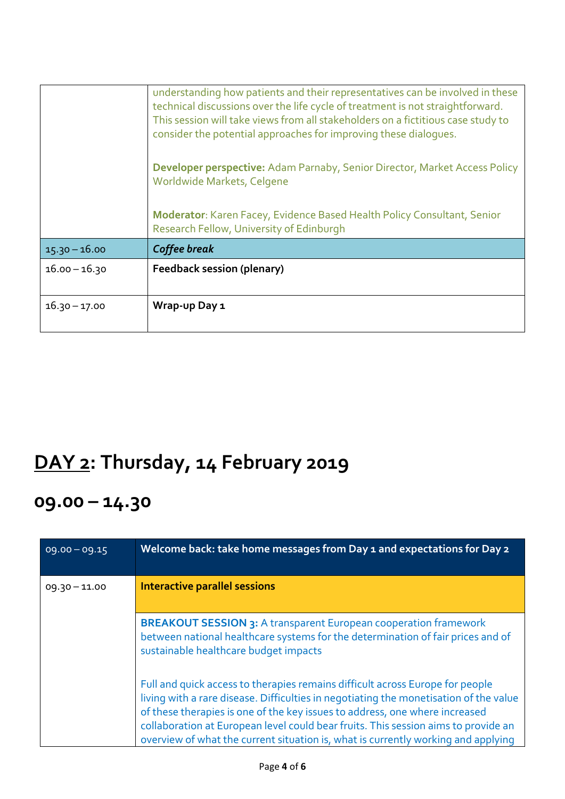|                 | understanding how patients and their representatives can be involved in these<br>technical discussions over the life cycle of treatment is not straightforward.<br>This session will take views from all stakeholders on a fictitious case study to<br>consider the potential approaches for improving these dialogues. |
|-----------------|-------------------------------------------------------------------------------------------------------------------------------------------------------------------------------------------------------------------------------------------------------------------------------------------------------------------------|
|                 | Developer perspective: Adam Parnaby, Senior Director, Market Access Policy<br>Worldwide Markets, Celgene                                                                                                                                                                                                                |
|                 | Moderator: Karen Facey, Evidence Based Health Policy Consultant, Senior<br>Research Fellow, University of Edinburgh                                                                                                                                                                                                     |
| $15.30 - 16.00$ | Coffee break                                                                                                                                                                                                                                                                                                            |
| $16.00 - 16.30$ | <b>Feedback session (plenary)</b>                                                                                                                                                                                                                                                                                       |
| $16.30 - 17.00$ | Wrap-up Day 1                                                                                                                                                                                                                                                                                                           |

## **DAY 2: Thursday, 14 February 2019**

#### **09.00 – 14.30**

| $09.00 - 09.15$ | Welcome back: take home messages from Day 1 and expectations for Day 2                                                                                                                                                                                                                                                                                                                                                           |
|-----------------|----------------------------------------------------------------------------------------------------------------------------------------------------------------------------------------------------------------------------------------------------------------------------------------------------------------------------------------------------------------------------------------------------------------------------------|
| $09.30 - 11.00$ | <b>Interactive parallel sessions</b>                                                                                                                                                                                                                                                                                                                                                                                             |
|                 | <b>BREAKOUT SESSION 3: A transparent European cooperation framework</b><br>between national healthcare systems for the determination of fair prices and of<br>sustainable healthcare budget impacts                                                                                                                                                                                                                              |
|                 | Full and quick access to therapies remains difficult across Europe for people<br>living with a rare disease. Difficulties in negotiating the monetisation of the value<br>of these therapies is one of the key issues to address, one where increased<br>collaboration at European level could bear fruits. This session aims to provide an<br>overview of what the current situation is, what is currently working and applying |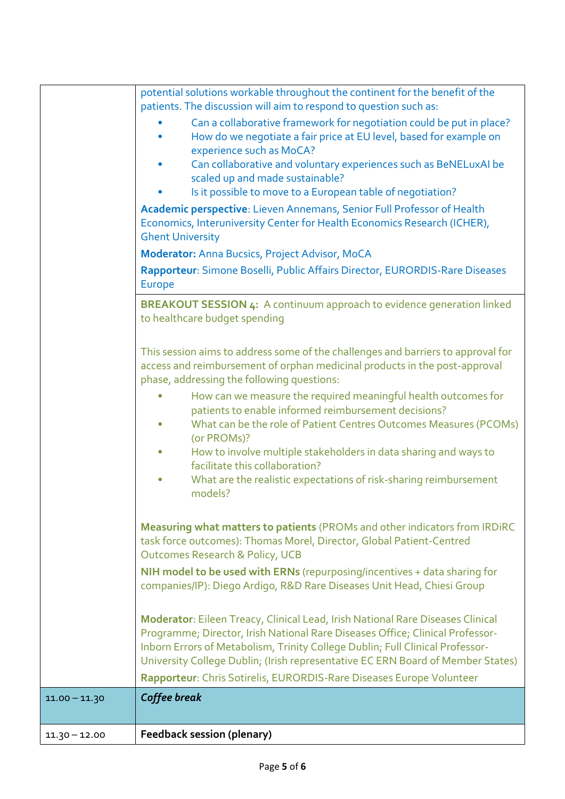|                 | potential solutions workable throughout the continent for the benefit of the                                                                                                                                                                                                                                                        |
|-----------------|-------------------------------------------------------------------------------------------------------------------------------------------------------------------------------------------------------------------------------------------------------------------------------------------------------------------------------------|
|                 | patients. The discussion will aim to respond to question such as:                                                                                                                                                                                                                                                                   |
|                 | Can a collaborative framework for negotiation could be put in place?<br>How do we negotiate a fair price at EU level, based for example on<br>experience such as MoCA?                                                                                                                                                              |
|                 | Can collaborative and voluntary experiences such as BeNELuxAI be<br>scaled up and made sustainable?                                                                                                                                                                                                                                 |
|                 | Is it possible to move to a European table of negotiation?                                                                                                                                                                                                                                                                          |
|                 | Academic perspective: Lieven Annemans, Senior Full Professor of Health<br>Economics, Interuniversity Center for Health Economics Research (ICHER),<br><b>Ghent University</b>                                                                                                                                                       |
|                 | <b>Moderator: Anna Bucsics, Project Advisor, MoCA</b>                                                                                                                                                                                                                                                                               |
|                 | Rapporteur: Simone Boselli, Public Affairs Director, EURORDIS-Rare Diseases<br><b>Europe</b>                                                                                                                                                                                                                                        |
|                 | <b>BREAKOUT SESSION 4:</b> A continuum approach to evidence generation linked<br>to healthcare budget spending                                                                                                                                                                                                                      |
|                 | This session aims to address some of the challenges and barriers to approval for<br>access and reimbursement of orphan medicinal products in the post-approval<br>phase, addressing the following questions:                                                                                                                        |
|                 | How can we measure the required meaningful health outcomes for<br>patients to enable informed reimbursement decisions?<br>What can be the role of Patient Centres Outcomes Measures (PCOMs)<br>$\bullet$<br>(or PROMs)?                                                                                                             |
|                 | How to involve multiple stakeholders in data sharing and ways to<br>$\bullet$<br>facilitate this collaboration?                                                                                                                                                                                                                     |
|                 | What are the realistic expectations of risk-sharing reimbursement<br>$\bullet$<br>models?                                                                                                                                                                                                                                           |
|                 | Measuring what matters to patients (PROMs and other indicators from IRDIRC<br>task force outcomes): Thomas Morel, Director, Global Patient-Centred<br><b>Outcomes Research &amp; Policy, UCB</b>                                                                                                                                    |
|                 | NIH model to be used with ERNs (repurposing/incentives + data sharing for<br>companies/IP): Diego Ardigo, R&D Rare Diseases Unit Head, Chiesi Group                                                                                                                                                                                 |
|                 | Moderator: Eileen Treacy, Clinical Lead, Irish National Rare Diseases Clinical<br>Programme; Director, Irish National Rare Diseases Office; Clinical Professor-<br>Inborn Errors of Metabolism, Trinity College Dublin; Full Clinical Professor-<br>University College Dublin; (Irish representative EC ERN Board of Member States) |
|                 | Rapporteur: Chris Sotirelis, EURORDIS-Rare Diseases Europe Volunteer                                                                                                                                                                                                                                                                |
| $11.00 - 11.30$ | Coffee break                                                                                                                                                                                                                                                                                                                        |
| $11.30 - 12.00$ | <b>Feedback session (plenary)</b>                                                                                                                                                                                                                                                                                                   |